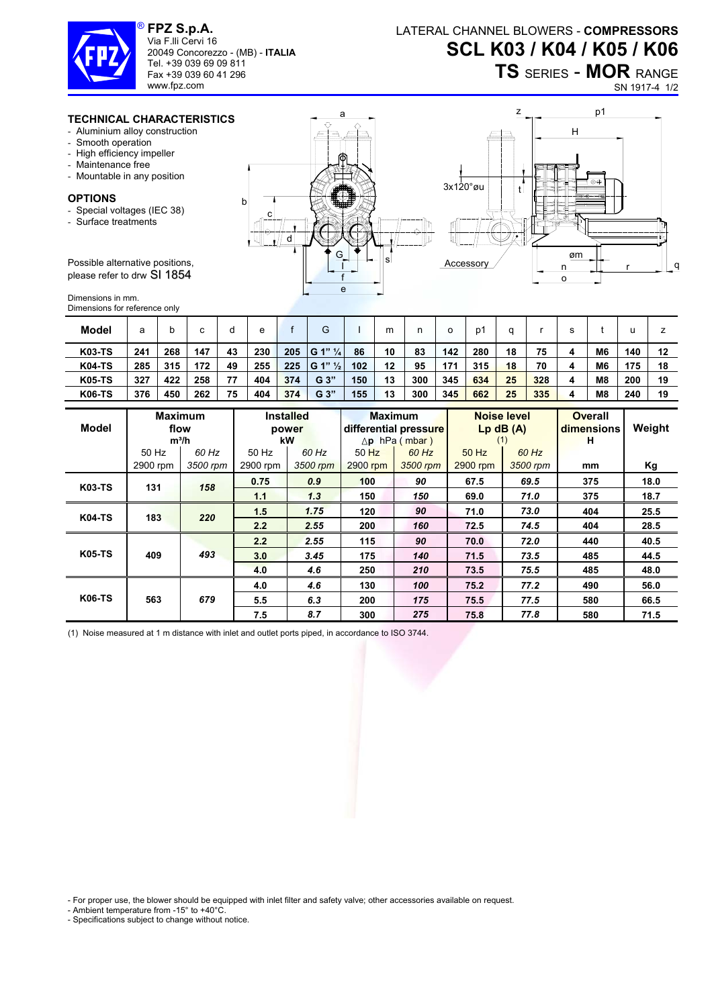

**FPZ S.p.A.**  Via F.lli Cervi 16 20049 Concorezzo - (MB) - **ITALIA** Tel. +39 039 69 09 811 Fax +39 039 60 41 296

www.fpz.com

## **TS** SERIES - **MOR** RANGE

SN 1917-4 1/2

## **TECHNICAL CHARACTERISTICS**

- Aluminium alloy construction
- Smooth operation
- High efficiency impeller
- Maintenance free
- Mountable in any position

## **OPTIONS**

- Special voltages (IEC 38)
- Surface treatments

Possible alternative positions, please refer to drw SI 1854

Dimensions in mm. Dimensions for reference only

| <b>Model</b>  | а   |     | с   | c  | е   |     | G                     |     | m  |     | о   | D'  |    |     |   |                | u   |    |
|---------------|-----|-----|-----|----|-----|-----|-----------------------|-----|----|-----|-----|-----|----|-----|---|----------------|-----|----|
| <b>K03-TS</b> | 241 | 268 | 147 | 43 | 230 | 205 | $ G 1"$ $\frac{1}{4}$ | 86  | 10 | 83  | 142 | 280 | 18 | 75  | 4 | M <sub>6</sub> | 140 | 12 |
| <b>K04-TS</b> | 285 | 315 | 172 | 49 | 255 | 225 | $ G 1" \frac{1}{2}$   | 102 | 12 | 95  | 171 | 315 | 18 | 70  | 4 | M <sub>6</sub> | 175 | 18 |
| <b>K05-TS</b> | 327 | 422 | 258 | 77 | 404 | 374 | G <sub>3</sub>        | 150 | 13 | 300 | 345 | 634 | 25 | 328 | 4 | M <sub>8</sub> | 200 | 19 |
| <b>K06-TS</b> | 376 | 450 | 262 | 75 | 404 | 374 | G <sub>3</sub>        | 155 | 13 | 300 | 345 | 662 | 25 | 335 | 4 | M <sub>8</sub> | 240 | 19 |

| Model         | flow     | <b>Maximum</b><br>$m^3/h$ | kW       | <b>Installed</b><br>power |          | <b>Maximum</b><br>differential pressure<br>$\Delta$ p hPa (mbar) | (1)      | <b>Noise level</b><br>$Lp$ dB $(A)$ | <b>Overall</b><br>dimensions<br>н | Weight |
|---------------|----------|---------------------------|----------|---------------------------|----------|------------------------------------------------------------------|----------|-------------------------------------|-----------------------------------|--------|
|               | 50 Hz    | 60 Hz                     | 50 Hz    | 60 Hz                     | $50$ Hz  | 60 Hz                                                            | 50 Hz    | 60 Hz                               |                                   |        |
|               | 2900 rpm | 3500 rpm                  | 2900 rpm | 3500 rpm                  | 2900 rpm | 3500 rpm                                                         | 2900 rpm | 3500 rpm                            | mm                                | Кg     |
| <b>K03-TS</b> | 131      | 158                       | 0.75     | 0.9                       | 100      | 90                                                               | 67.5     | 69.5                                | 375                               | 18.0   |
|               |          |                           | 1.1      | 1.3                       | 150      | 150                                                              | 69.0     | 71.0                                | 375                               | 18.7   |
| <b>K04-TS</b> | 183      | 220                       | 1.5      | 1.75                      | 120      | 90                                                               | 71.0     | 73.0                                | 404                               | 25.5   |
|               |          |                           | 2.2      | 2.55                      | 200      | 160                                                              | 72.5     | 74.5                                | 404                               | 28.5   |
| <b>K05-TS</b> |          |                           | 2.2      | 2.55                      | 115      | 90                                                               | 70.0     | 72.0                                | 440                               | 40.5   |
|               | 409      | 493                       | 3.0      | 3.45                      | 175      | 140                                                              | 71.5     | 73.5                                | 485                               | 44.5   |
|               |          |                           | 4.0      | 4.6                       | 250      | 210                                                              | 73.5     | 75.5                                | 485                               | 48.0   |
| <b>K06-TS</b> |          |                           | 4.0      | 4.6                       | 130      | 100                                                              | 75.2     | 77.2                                | 490                               | 56.0   |
|               | 563      | 679                       | 5.5      | 6.3                       | 200      | 175                                                              | 75.5     | 77.5                                | 580                               | 66.5   |
|               |          |                           | 7.5      | 8.7                       | 300      | 275                                                              | 75.8     | 77.8                                | 580                               | 71.5   |

(1) Noise measured at 1 m distance with inlet and outlet ports piped, in accordance to ISO 3744.

- For proper use, the blower should be equipped with inlet filter and safety valve; other accessories available on request.

- Ambient temperature from -15° to +40°C.

- Specifications subject to change without notice.